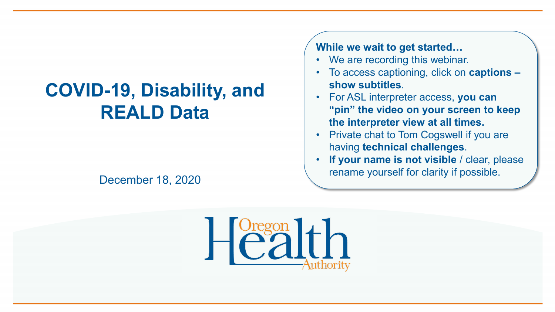## **COVID-19, Disability, and REALD Data**

**While we wait to get started…**

- We are recording this webinar.
- To access captioning, click on **captions – show subtitles**.
- For ASL interpreter access, **you can "pin" the video on your screen to keep the interpreter view at all times.**
- Private chat to Tom Cogswell if you are having **technical challenges**.
- **If your name is not visible** / clear, please rename yourself for clarity if possible. December 18, 2020

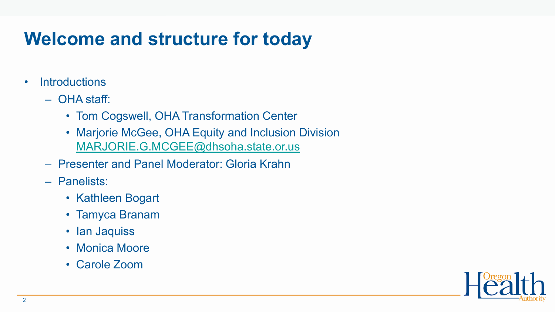## **Welcome and structure for today**

- Introductions
	- OHA staff:
		- Tom Cogswell, OHA Transformation Center
		- Marjorie McGee, OHA Equity and Inclusion Division [MARJORIE.G.MCGEE@dhsoha.state.or.us](mailto:MARJORIE.G.MCGEE@dhsoha.state.or.us)
	- Presenter and Panel Moderator: Gloria Krahn
	- Panelists:
		- Kathleen Bogart
		- Tamyca Branam
		- Ian Jaquiss
		- Monica Moore
		- Carole Zoom

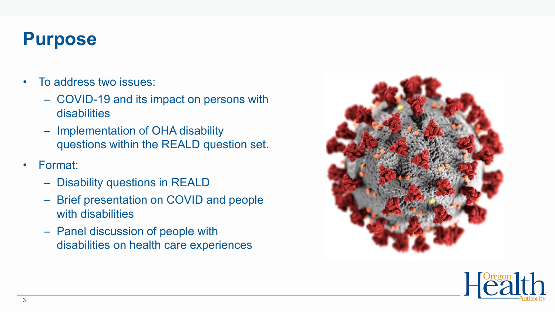#### **Purpose**

- To address two issues:
	- COVID-19 and its impact on persons with disabilities
	- Implementation of OHA disability questions within the REALD question set.
- Format:
	- Disability questions in REALD
	- Brief presentation on COVID and people with disabilities
	- Panel discussion of people with disabilities on health care experiences



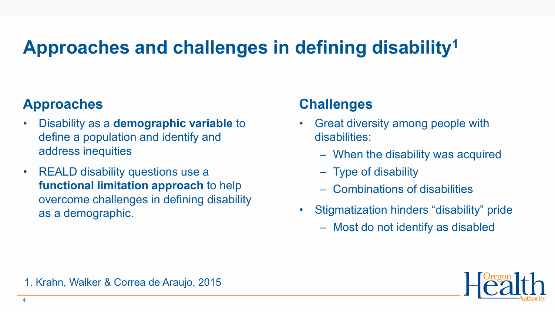# **Approaches and challenges in defining disability1**

#### **Approaches**

- Disability as a **demographic variable** to define a population and identify and address inequities
- REALD disability questions use a **functional limitation approach** to help overcome challenges in defining disability as a demographic.

#### **Challenges**

- Great diversity among people with disabilities:
	- When the disability was acquired
	- Type of disability
	- Combinations of disabilities
- Stigmatization hinders "disability" pride
	- Most do not identify as disabled

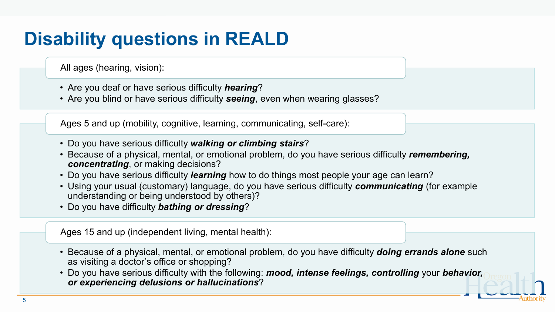# **Disability questions in REALD**

All ages (hearing, vision):

- Are you deaf or have serious difficulty *hearing*?
- Are you blind or have serious difficulty *seeing*, even when wearing glasses?

Ages 5 and up (mobility, cognitive, learning, communicating, self-care):

- Do you have serious difficulty *walking or climbing stairs*?
- Because of a physical, mental, or emotional problem, do you have serious difficulty *remembering, concentrating*, or making decisions?
- Do you have serious difficulty *learning* how to do things most people your age can learn?
- Using your usual (customary) language, do you have serious difficulty *communicating* (for example understanding or being understood by others)?
- Do you have difficulty *bathing or dressing*?

Ages 15 and up (independent living, mental health):

- Because of a physical, mental, or emotional problem, do you have difficulty *doing errands alone* such as visiting a doctor's office or shopping?
- Do you have serious difficulty with the following: *mood, intense feelings, controlling* your *behavior, or experiencing delusions or hallucinations*?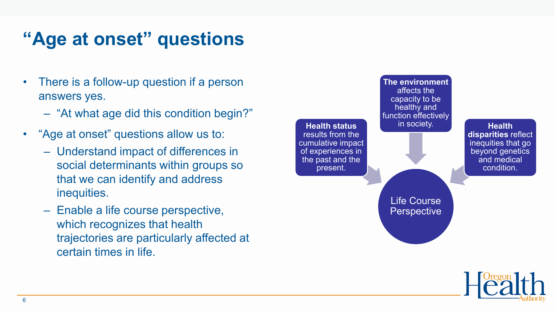## **"Age at onset" questions**

- There is a follow-up question if a person answers yes.
	- "At what age did this condition begin?"
- "Age at onset" questions allow us to:
	- Understand impact of differences in social determinants within groups so that we can identify and address inequities.
	- Enable a life course perspective, which recognizes that health trajectories are particularly affected at certain times in life.



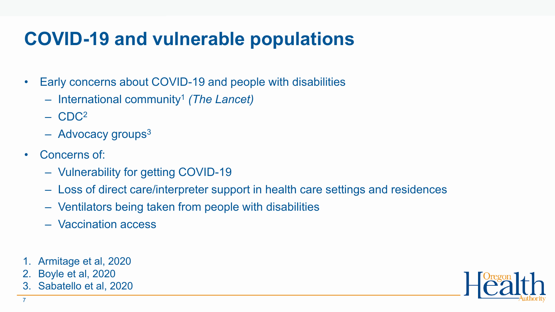## **COVID-19 and vulnerable populations**

- Early concerns about COVID-19 and people with disabilities
	- International community1 *(The Lancet)*
	- $-$  CDC<sup>2</sup>
	- $-$  Advocacy groups<sup>3</sup>
- Concerns of:
	- Vulnerability for getting COVID-19
	- Loss of direct care/interpreter support in health care settings and residences
	- Ventilators being taken from people with disabilities
	- Vaccination access
- 1. Armitage et al, 2020
- 2. Boyle et al, 2020
- 3. Sabatello et al, 2020

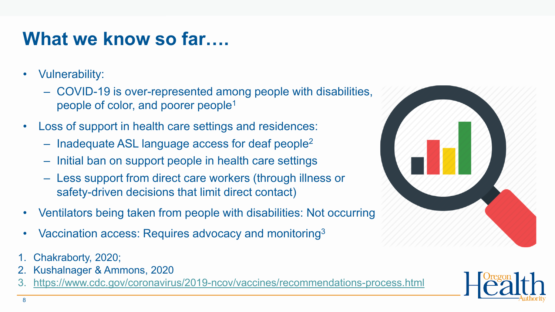#### **What we know so far….**

- Vulnerability:
	- COVID-19 is over-represented among people with disabilities, people of color, and poorer people1
- Loss of support in health care settings and residences:
	- Inadequate ASL language access for deaf people2
	- Initial ban on support people in health care settings
	- Less support from direct care workers (through illness or safety-driven decisions that limit direct contact)
- Ventilators being taken from people with disabilities: Not occurring
- Vaccination access: Requires advocacy and monitoring<sup>3</sup>
- 1. Chakraborty, 2020;
- 2. Kushalnager & Ammons, 2020
- 3. <https://www.cdc.gov/coronavirus/2019-ncov/vaccines/recommendations-process.html>

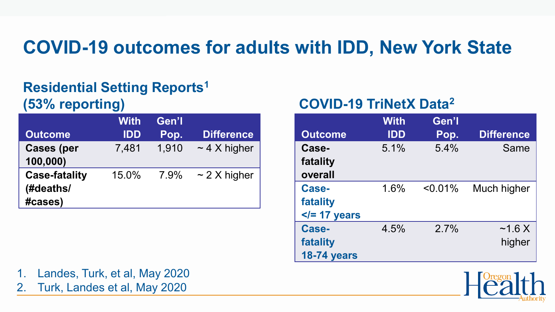#### **COVID-19 outcomes for adults with IDD, New York State**

#### **Residential Setting Reports1 (53% reporting)**

|                                              | <b>With</b> | Gen'l |                   |
|----------------------------------------------|-------------|-------|-------------------|
| <b>Outcome</b>                               | <b>IDD</b>  | Pop.  | <b>Difference</b> |
| <b>Cases (per</b><br>100,000)                | 7,481       | 1,910 | $\sim$ 4 X higher |
| <b>Case-fatality</b><br>(#deaths/<br>#cases) | 15.0%       | 7.9%  | $\sim$ 2 X higher |

#### **COVID-19 TriNetX Data2**

|                    | <b>With</b> | Gen'l      |                   |
|--------------------|-------------|------------|-------------------|
| <b>Outcome</b>     | <b>IDD</b>  | Pop.       | <b>Difference</b> |
| Case-              | 5.1%        | 5.4%       | Same              |
| fatality           |             |            |                   |
| overall            |             |            |                   |
| <b>Case-</b>       | 1.6%        | $< 0.01\%$ | Much higher       |
| fatality           |             |            |                   |
| $\le$ /= 17 years  |             |            |                   |
| Case-              | 4.5%        | 2.7%       | $\sim$ 1.6 X      |
| fatality           |             |            | higher            |
| <b>18-74 years</b> |             |            |                   |

1. Landes, Turk, et al, May 2020

2. Turk, Landes et al, May 2020

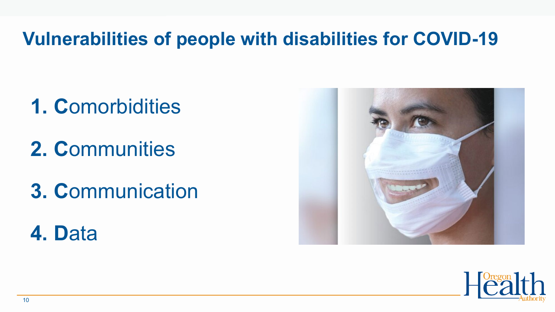#### **Vulnerabilities of people with disabilities for COVID-19**

- **1. C**omorbidities
- **2. C**ommunities
- **3. C**ommunication

**4. D**ata



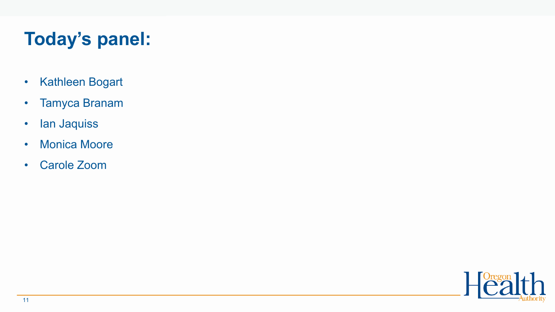# **Today's panel:**

- Kathleen Bogart
- Tamyca Branam
- Ian Jaquiss
- Monica Moore
- Carole Zoom

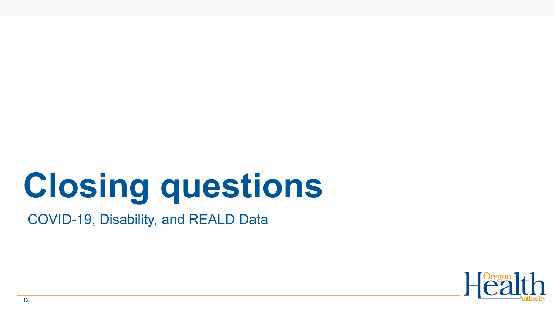# **Closing questions**

COVID-19, Disability, and REALD Data

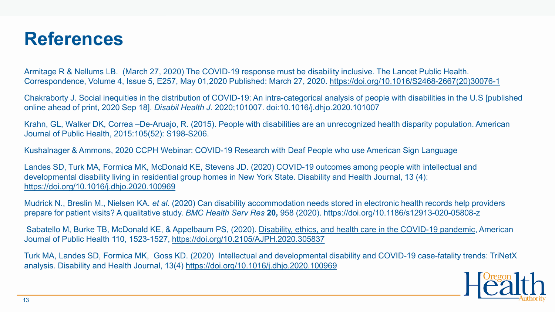#### **References**

Armitage R & Nellums LB. (March 27, 2020) The COVID-19 response must be disability inclusive. The Lancet Public Health. Correspondence, Volume 4, Issue 5, E257, May 01,2020 Published: March 27, 2020. [https://doi.org/10.1016/S2468-2667\(20\)30076-1](https://doi.org/10.1016/S2468-2667(20)30076-1)

Chakraborty J. Social inequities in the distribution of COVID-19: An intra-categorical analysis of people with disabilities in the U.S [published online ahead of print, 2020 Sep 18]. *Disabil Health J*. 2020;101007. doi:10.1016/j.dhjo.2020.101007

Krahn, GL, Walker DK, Correa –De-Aruajo, R. (2015). People with disabilities are an unrecognized health disparity population. American Journal of Public Health, 2015:105(52): S198-S206.

Kushalnager & Ammons, 2020 CCPH Webinar: COVID-19 Research with Deaf People who use American Sign Language

Landes SD, Turk MA, Formica MK, McDonald KE, Stevens JD. (2020) COVID-19 outcomes among people with intellectual and developmental disability living in residential group homes in New York State. Disability and Health Journal, 13 (4): <https://doi.org/10.1016/j.dhjo.2020.100969>

Mudrick N., Breslin M., Nielsen KA. *et al.* (2020) Can disability accommodation needs stored in electronic health records help providers prepare for patient visits? A qualitative study. *BMC Health Serv Res* **20,** 958 (2020). https://doi.org/10.1186/s12913-020-05808-z

Sabatello M, Burke TB, McDonald KE, & Appelbaum PS, (2020). [Disability, ethics, and health care in the COVID-19 pandemic,](https://ajph.aphapublications.org/doi/abs/10.2105/AJPH.2020.305837) American Journal of Public Health 110, 1523-1527, [https://doi.org/10.2105/AJPH.2020.305837](https://ajph.aphapublications.org/doi/abs/10.2105/AJPH.2020.305837)

Turk MA, Landes SD, Formica MK, Goss KD. (2020) Intellectual and developmental disability and COVID-19 case-fatality trends: TriNetX analysis. Disability and Health Journal, 13(4)<https://doi.org/10.1016/j.dhjo.2020.100969>